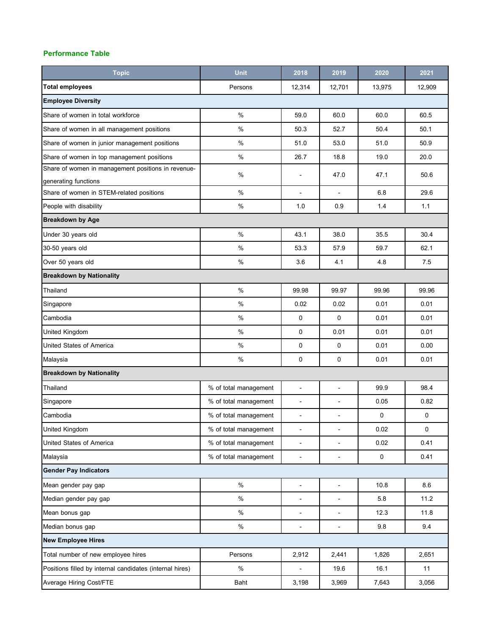## **Performance Table**

| <b>Topic</b>                                             | <b>Unit</b>           | 2018                         | 2019                         | 2020      | 2021        |  |  |  |
|----------------------------------------------------------|-----------------------|------------------------------|------------------------------|-----------|-------------|--|--|--|
| <b>Total employees</b>                                   | Persons               | 12,314                       | 12,701                       | 13,975    | 12,909      |  |  |  |
| <b>Employee Diversity</b>                                |                       |                              |                              |           |             |  |  |  |
| Share of women in total workforce                        | $\frac{9}{6}$         | 59.0                         | 60.0                         | 60.0      | 60.5        |  |  |  |
| Share of women in all management positions               | $\%$                  | 50.3                         | 52.7                         | 50.4      | 50.1        |  |  |  |
| Share of women in junior management positions            | $\%$                  | 51.0                         | 53.0                         | 51.0      | 50.9        |  |  |  |
| Share of women in top management positions               | %                     | 26.7                         | 18.8                         | 19.0      | 20.0        |  |  |  |
| Share of women in management positions in revenue-       | $\%$                  | ٠                            | 47.0                         | 47.1      | 50.6        |  |  |  |
| generating functions                                     |                       |                              |                              |           |             |  |  |  |
| Share of women in STEM-related positions                 | $\%$                  |                              |                              | 6.8       | 29.6        |  |  |  |
| People with disability                                   | $\%$                  | 1.0                          | 0.9                          | 1.4       | 1.1         |  |  |  |
| <b>Breakdown by Age</b>                                  |                       |                              |                              |           |             |  |  |  |
| Under 30 years old                                       | %                     | 43.1                         | 38.0                         | 35.5      | 30.4        |  |  |  |
| 30-50 years old                                          | $\%$                  | 53.3                         | 57.9                         | 59.7      | 62.1        |  |  |  |
| Over 50 years old                                        | $\%$                  | 3.6                          | 4.1                          | 4.8       | 7.5         |  |  |  |
| <b>Breakdown by Nationality</b>                          |                       |                              |                              |           |             |  |  |  |
| Thailand                                                 | $\%$                  | 99.98                        | 99.97                        | 99.96     | 99.96       |  |  |  |
| Singapore                                                | %                     | 0.02                         | 0.02                         | 0.01      | 0.01        |  |  |  |
| Cambodia                                                 | $\%$                  | 0                            | 0                            | 0.01      | 0.01        |  |  |  |
| United Kingdom                                           | $\%$                  | $\mathbf 0$                  | 0.01                         | 0.01      | 0.01        |  |  |  |
| United States of America                                 | $\%$                  | $\mathbf 0$                  | $\mathbf 0$                  | 0.01      | 0.00        |  |  |  |
| Malaysia                                                 | %                     | $\mathbf 0$                  | $\mathbf 0$                  | 0.01      | 0.01        |  |  |  |
| <b>Breakdown by Nationality</b>                          |                       |                              |                              |           |             |  |  |  |
| Thailand                                                 | % of total management | L,                           | ÷.                           | 99.9      | 98.4        |  |  |  |
| Singapore                                                | % of total management | $\qquad \qquad \blacksquare$ | ä,                           | 0.05      | 0.82        |  |  |  |
| Cambodia                                                 | % of total management | ٠                            | ٠                            | 0         | 0           |  |  |  |
| United Kingdom                                           | % of total management | ÷,                           | $\qquad \qquad \blacksquare$ | 0.02      | $\mathbf 0$ |  |  |  |
| United States of America                                 | % of total management | ÷,                           | ÷,                           | 0.02      | 0.41        |  |  |  |
| Malaysia                                                 | % of total management | ÷,                           | ÷,                           | $\pmb{0}$ | 0.41        |  |  |  |
| <b>Gender Pay Indicators</b>                             |                       |                              |                              |           |             |  |  |  |
| Mean gender pay gap                                      | $\%$                  | ä,                           | $\blacksquare$               | 10.8      | 8.6         |  |  |  |
| Median gender pay gap                                    | %                     |                              | ٠                            | 5.8       | 11.2        |  |  |  |
| Mean bonus gap                                           | $\%$                  | ÷,                           | $\blacksquare$               | 12.3      | 11.8        |  |  |  |
| Median bonus gap                                         | $\%$                  | ٠                            | $\qquad \qquad \blacksquare$ | 9.8       | 9.4         |  |  |  |
| <b>New Employee Hires</b>                                |                       |                              |                              |           |             |  |  |  |
| Total number of new employee hires                       | Persons               | 2,912                        | 2,441                        | 1,826     | 2,651       |  |  |  |
| Positions filled by internal candidates (internal hires) | $\%$                  | ÷,                           | 19.6                         | 16.1      | 11          |  |  |  |
| Average Hiring Cost/FTE                                  | Baht                  | 3,198                        | 3,969                        | 7,643     | 3,056       |  |  |  |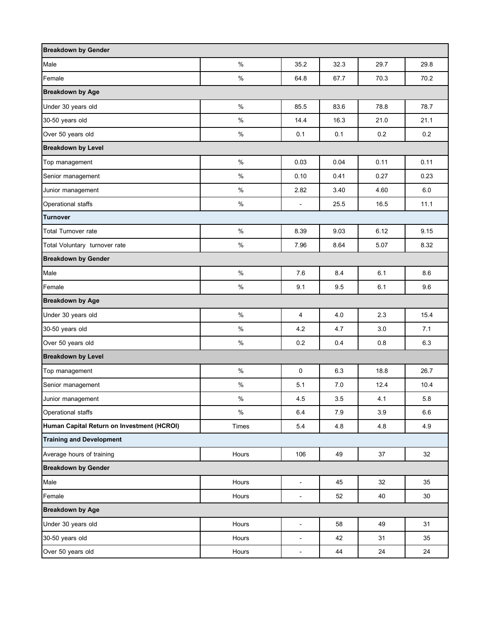| <b>Breakdown by Gender</b>                 |       |                              |      |         |      |  |  |  |
|--------------------------------------------|-------|------------------------------|------|---------|------|--|--|--|
| Male                                       | $\%$  | 35.2                         | 32.3 | 29.7    | 29.8 |  |  |  |
| Female                                     | %     | 64.8                         | 67.7 | 70.3    | 70.2 |  |  |  |
| <b>Breakdown by Age</b>                    |       |                              |      |         |      |  |  |  |
| Under 30 years old                         | $\%$  | 85.5                         | 83.6 | 78.8    | 78.7 |  |  |  |
| 30-50 years old                            | %     | 14.4                         | 16.3 | 21.0    | 21.1 |  |  |  |
| Over 50 years old                          | $\%$  | 0.1                          | 0.1  | $0.2\,$ | 0.2  |  |  |  |
| <b>Breakdown by Level</b>                  |       |                              |      |         |      |  |  |  |
| Top management                             | $\%$  | 0.03                         | 0.04 | 0.11    | 0.11 |  |  |  |
| Senior management                          | $\%$  | 0.10                         | 0.41 | 0.27    | 0.23 |  |  |  |
| Junior management                          | $\%$  | 2.82                         | 3.40 | 4.60    | 6.0  |  |  |  |
| Operational staffs                         | $\%$  | $\blacksquare$               | 25.5 | 16.5    | 11.1 |  |  |  |
| <b>Turnover</b>                            |       |                              |      |         |      |  |  |  |
| <b>Total Turnover rate</b>                 | $\%$  | 8.39                         | 9.03 | 6.12    | 9.15 |  |  |  |
| Total Voluntary turnover rate              | $\%$  | 7.96                         | 8.64 | 5.07    | 8.32 |  |  |  |
| <b>Breakdown by Gender</b>                 |       |                              |      |         |      |  |  |  |
| Male                                       | $\%$  | 7.6                          | 8.4  | 6.1     | 8.6  |  |  |  |
| Female                                     | $\%$  | 9.1                          | 9.5  | 6.1     | 9.6  |  |  |  |
| <b>Breakdown by Age</b>                    |       |                              |      |         |      |  |  |  |
| Under 30 years old                         | %     | 4                            | 4.0  | 2.3     | 15.4 |  |  |  |
| 30-50 years old                            | $\%$  | 4.2                          | 4.7  | 3.0     | 7.1  |  |  |  |
| Over 50 years old                          | $\%$  | 0.2                          | 0.4  | 0.8     | 6.3  |  |  |  |
| <b>Breakdown by Level</b>                  |       |                              |      |         |      |  |  |  |
| Top management                             | $\%$  | $\mathbf 0$                  | 6.3  | 18.8    | 26.7 |  |  |  |
| Senior management                          | $\%$  | 5.1                          | 7.0  | 12.4    | 10.4 |  |  |  |
| Junior management                          | $\%$  | 4.5                          | 3.5  | 4.1     | 5.8  |  |  |  |
| Operational staffs                         | $\%$  | 6.4                          | 7.9  | 3.9     | 6.6  |  |  |  |
| Human Capital Return on Investment (HCROI) | Times | 5.4                          | 4.8  | 4.8     | 4.9  |  |  |  |
| <b>Training and Development</b>            |       |                              |      |         |      |  |  |  |
| Average hours of training                  | Hours | 106                          | 49   | $37\,$  | 32   |  |  |  |
| <b>Breakdown by Gender</b>                 |       |                              |      |         |      |  |  |  |
| Male                                       | Hours | $\blacksquare$               | 45   | 32      | 35   |  |  |  |
| Female                                     | Hours | ä,                           | 52   | 40      | 30   |  |  |  |
| <b>Breakdown by Age</b>                    |       |                              |      |         |      |  |  |  |
| Under 30 years old                         | Hours | $\qquad \qquad \blacksquare$ | 58   | 49      | 31   |  |  |  |
| 30-50 years old                            | Hours | $\qquad \qquad \blacksquare$ | 42   | 31      | 35   |  |  |  |
| Over 50 years old                          | Hours | $\blacksquare$               | 44   | 24      | 24   |  |  |  |